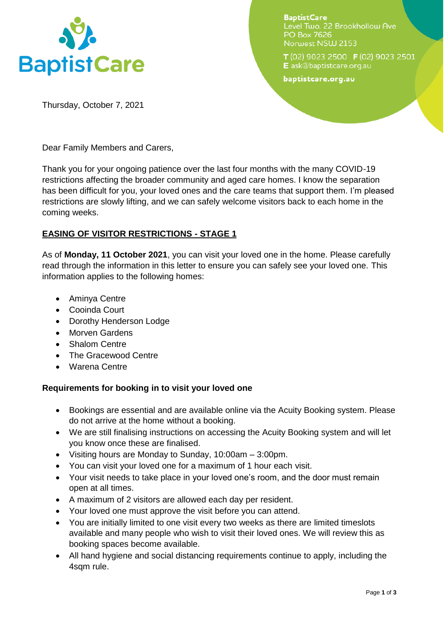

**BaptistCare** Level Two, 22 Brookhollow Ave PO Box 7626 Norwest NSW 2153

T(02) 9023 2500 F(02) 9023 2501 E ask@baptistcare.org.au

baptistcare.org.au

Thursday, October 7, 2021

Dear Family Members and Carers,

Thank you for your ongoing patience over the last four months with the many COVID-19 restrictions affecting the broader community and aged care homes. I know the separation has been difficult for you, your loved ones and the care teams that support them. I'm pleased restrictions are slowly lifting, and we can safely welcome visitors back to each home in the coming weeks.

# **EASING OF VISITOR RESTRICTIONS - STAGE 1**

As of **Monday, 11 October 2021**, you can visit your loved one in the home. Please carefully read through the information in this letter to ensure you can safely see your loved one. This information applies to the following homes:

- Aminya Centre
- Cooinda Court
- Dorothy Henderson Lodge
- Morven Gardens
- Shalom Centre
- The Gracewood Centre
- Warena Centre

# **Requirements for booking in to visit your loved one**

- Bookings are essential and are available online via the Acuity Booking system. Please do not arrive at the home without a booking.
- We are still finalising instructions on accessing the Acuity Booking system and will let you know once these are finalised.
- Visiting hours are Monday to Sunday, 10:00am 3:00pm.
- You can visit your loved one for a maximum of 1 hour each visit.
- Your visit needs to take place in your loved one's room, and the door must remain open at all times.
- A maximum of 2 visitors are allowed each day per resident.
- Your loved one must approve the visit before you can attend.
- You are initially limited to one visit every two weeks as there are limited timeslots available and many people who wish to visit their loved ones. We will review this as booking spaces become available.
- All hand hygiene and social distancing requirements continue to apply, including the 4sqm rule.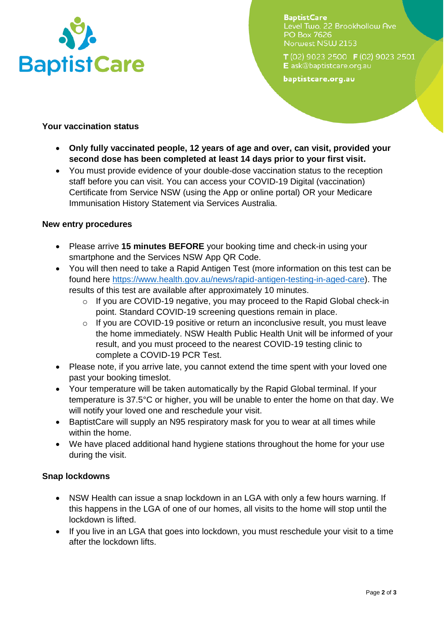

**BaptistCare** Level Two, 22 Brookhollow Ave PO Box 7626 Norwest NSW 2153

T (02) 9023 2500 F (02) 9023 2501 E ask@baptistcare.org.au

baptistcare.org.au

### **Your vaccination status**

- **Only fully vaccinated people, 12 years of age and over, can visit, provided your second dose has been completed at least 14 days prior to your first visit.**
- You must provide evidence of your double-dose vaccination status to the reception staff before you can visit. You can access your COVID-19 Digital (vaccination) Certificate from Service NSW (using the App or online portal) OR your Medicare Immunisation History Statement via Services Australia.

#### **New entry procedures**

- Please arrive **15 minutes BEFORE** your booking time and check-in using your smartphone and the Services NSW App QR Code.
- You will then need to take a Rapid Antigen Test (more information on this test can be found here [https://www.health.gov.au/news/rapid-antigen-testing-in-aged-care\)](https://www.health.gov.au/news/rapid-antigen-testing-in-aged-care). The results of this test are available after approximately 10 minutes.
	- o If you are COVID-19 negative, you may proceed to the Rapid Global check-in point. Standard COVID-19 screening questions remain in place.
	- o If you are COVID-19 positive or return an inconclusive result, you must leave the home immediately. NSW Health Public Health Unit will be informed of your result, and you must proceed to the nearest COVID-19 testing clinic to complete a COVID-19 PCR Test.
- Please note, if you arrive late, you cannot extend the time spent with your loved one past your booking timeslot.
- Your temperature will be taken automatically by the Rapid Global terminal. If your temperature is 37.5°C or higher, you will be unable to enter the home on that day. We will notify your loved one and reschedule your visit.
- BaptistCare will supply an N95 respiratory mask for you to wear at all times while within the home.
- We have placed additional hand hygiene stations throughout the home for your use during the visit.

# **Snap lockdowns**

- NSW Health can issue a snap lockdown in an LGA with only a few hours warning. If this happens in the LGA of one of our homes, all visits to the home will stop until the lockdown is lifted.
- If you live in an LGA that goes into lockdown, you must reschedule your visit to a time after the lockdown lifts.